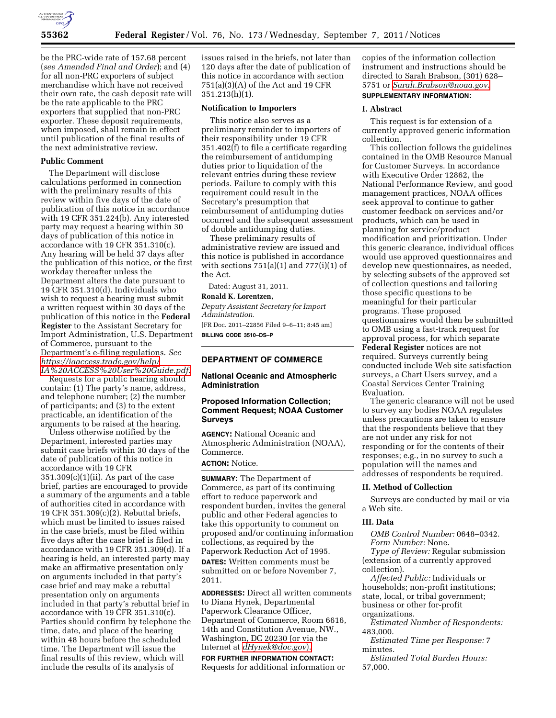

be the PRC-wide rate of 157.68 percent (*see Amended Final and Order*); and (4) for all non-PRC exporters of subject merchandise which have not received their own rate, the cash deposit rate will be the rate applicable to the PRC exporters that supplied that non-PRC exporter. These deposit requirements, when imposed, shall remain in effect until publication of the final results of the next administrative review.

#### **Public Comment**

The Department will disclose calculations performed in connection with the preliminary results of this review within five days of the date of publication of this notice in accordance with 19 CFR 351.224(b). Any interested party may request a hearing within 30 days of publication of this notice in accordance with 19 CFR 351.310(c). Any hearing will be held 37 days after the publication of this notice, or the first workday thereafter unless the Department alters the date pursuant to 19 CFR 351.310(d). Individuals who wish to request a hearing must submit a written request within 30 days of the publication of this notice in the **Federal Register** to the Assistant Secretary for Import Administration, U.S. Department of Commerce, pursuant to the Department's e-filing regulations. *See [https://iaaccess.trade.gov/help/](https://iaaccess.trade.gov/help/IA%20ACCESS%20User%20Guide.pdf)  [IA%20ACCESS%20User%20Guide.pdf.](https://iaaccess.trade.gov/help/IA%20ACCESS%20User%20Guide.pdf)* 

Requests for a public hearing should contain: (1) The party's name, address, and telephone number; (2) the number of participants; and (3) to the extent practicable, an identification of the arguments to be raised at the hearing.

Unless otherwise notified by the Department, interested parties may submit case briefs within 30 days of the date of publication of this notice in accordance with 19 CFR  $351.309(c)(1)(ii)$ . As part of the case brief, parties are encouraged to provide a summary of the arguments and a table of authorities cited in accordance with 19 CFR 351.309(c)(2). Rebuttal briefs, which must be limited to issues raised in the case briefs, must be filed within five days after the case brief is filed in accordance with 19 CFR 351.309(d). If a hearing is held, an interested party may make an affirmative presentation only on arguments included in that party's case brief and may make a rebuttal presentation only on arguments included in that party's rebuttal brief in accordance with 19 CFR 351.310(c). Parties should confirm by telephone the time, date, and place of the hearing within 48 hours before the scheduled time. The Department will issue the final results of this review, which will include the results of its analysis of

issues raised in the briefs, not later than 120 days after the date of publication of this notice in accordance with section 751(a)(3)(A) of the Act and 19 CFR 351.213(h)(1).

### **Notification to Importers**

This notice also serves as a preliminary reminder to importers of their responsibility under 19 CFR 351.402(f) to file a certificate regarding the reimbursement of antidumping duties prior to liquidation of the relevant entries during these review periods. Failure to comply with this requirement could result in the Secretary's presumption that reimbursement of antidumping duties occurred and the subsequent assessment of double antidumping duties.

These preliminary results of administrative review are issued and this notice is published in accordance with sections  $751(a)(1)$  and  $777(i)(1)$  of the Act.

Dated: August 31, 2011.

**Ronald K. Lorentzen,** 

*Deputy Assistant Secretary for Import Administration.*  [FR Doc. 2011–22856 Filed 9–6–11; 8:45 am]

**BILLING CODE 3510–DS–P** 

### **DEPARTMENT OF COMMERCE**

### **National Oceanic and Atmospheric Administration**

### **Proposed Information Collection; Comment Request; NOAA Customer Surveys**

**AGENCY:** National Oceanic and Atmospheric Administration (NOAA), Commerce.

**ACTION:** Notice.

**SUMMARY:** The Department of Commerce, as part of its continuing effort to reduce paperwork and respondent burden, invites the general public and other Federal agencies to take this opportunity to comment on proposed and/or continuing information collections, as required by the Paperwork Reduction Act of 1995.

**DATES:** Written comments must be submitted on or before November 7, 2011.

**ADDRESSES:** Direct all written comments to Diana Hynek, Departmental Paperwork Clearance Officer, Department of Commerce, Room 6616, 14th and Constitution Avenue, NW., Washington, DC 20230 (or via the Internet at *[dHynek@doc.gov](mailto:dHynek@doc.gov)*).

**FOR FURTHER INFORMATION CONTACT:**  Requests for additional information or copies of the information collection instrument and instructions should be directed to Sarah Brabson, (301) 628– 5751 or *[Sarah.Brabson@noaa.gov](mailto:Sarah.Brabson@noaa.gov)*.

## **SUPPLEMENTARY INFORMATION:**

### **I. Abstract**

This request is for extension of a currently approved generic information collection.

This collection follows the guidelines contained in the OMB Resource Manual for Customer Surveys. In accordance with Executive Order 12862, the National Performance Review, and good management practices, NOAA offices seek approval to continue to gather customer feedback on services and/or products, which can be used in planning for service/product modification and prioritization. Under this generic clearance, individual offices would use approved questionnaires and develop new questionnaires, as needed, by selecting subsets of the approved set of collection questions and tailoring those specific questions to be meaningful for their particular programs. These proposed questionnaires would then be submitted to OMB using a fast-track request for approval process, for which separate **Federal Register** notices are not required. Surveys currently being conducted include Web site satisfaction surveys, a Chart Users survey, and a Coastal Services Center Training Evaluation.

The generic clearance will not be used to survey any bodies NOAA regulates unless precautions are taken to ensure that the respondents believe that they are not under any risk for not responding or for the contents of their responses; e.g., in no survey to such a population will the names and addresses of respondents be required.

#### **II. Method of Collection**

Surveys are conducted by mail or via a Web site.

# **III. Data**

*OMB Control Number:* 0648–0342. *Form Number:* None. *Type of Review:* Regular submission

(extension of a currently approved collection).

*Affected Public:* Individuals or households; non-profit institutions; state, local, or tribal government; business or other for-profit organizations.

*Estimated Number of Respondents:*  483,000.

*Estimated Time per Response:* 7 minutes.

*Estimated Total Burden Hours:*  57,000.